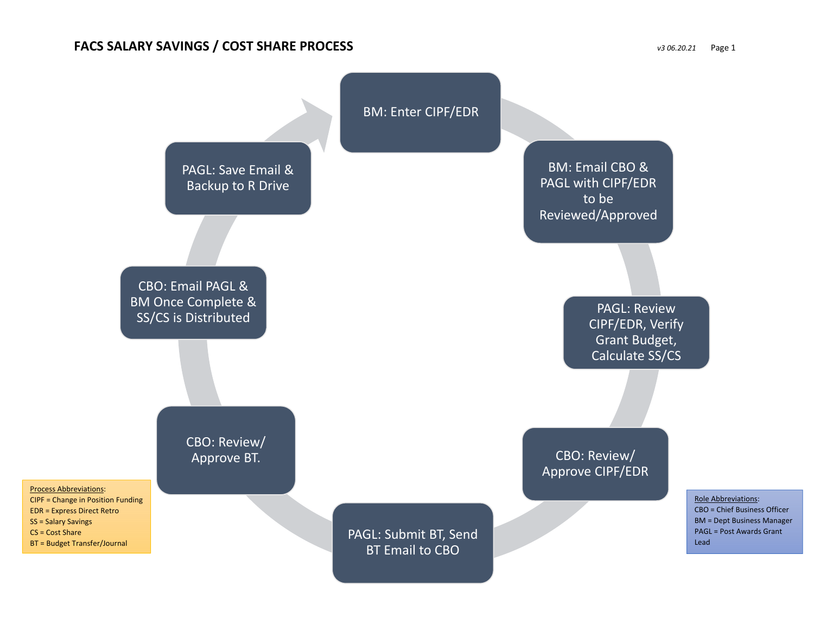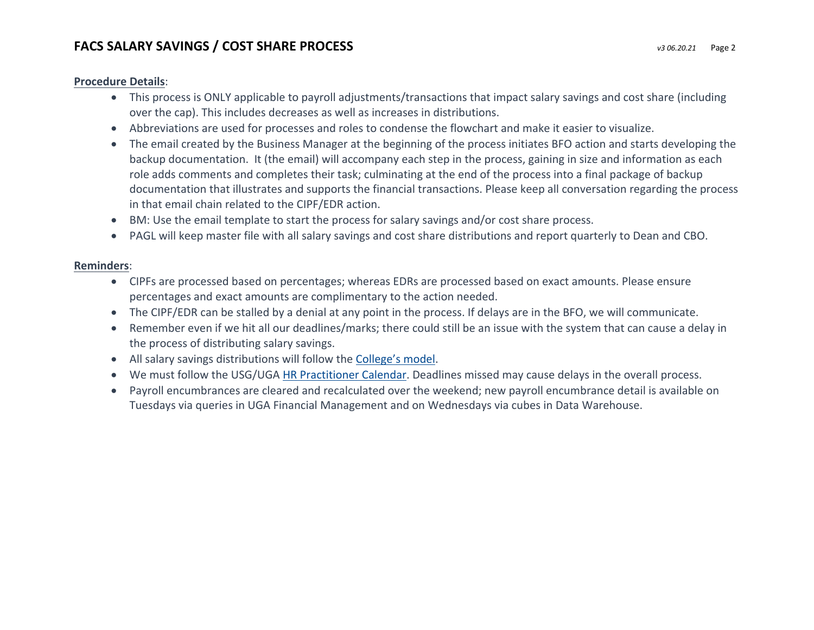## **FACS SALARY SAVINGS / COST SHARE PROCESS** *v3 06.20.21* Page <sup>2</sup>

## **Procedure Details**:

- This process is ONLY applicable to payroll adjustments/transactions that impact salary savings and cost share (including over the cap). This includes decreases as well as increases in distributions.
- Abbreviations are used for processes and roles to condense the flowchart and make it easier to visualize.
- The email created by the Business Manager at the beginning of the process initiates BFO action and starts developing the backup documentation. It (the email) will accompany each step in the process, gaining in size and information as each role adds comments and completes their task; culminating at the end of the process into <sup>a</sup> final package of backup documentation that illustrates and supports the financial transactions. Please keep all conversation regarding the process in that email chain related to the CIPF/EDR action.
- BM: Use the email template to start the process for salary savings and/or cost share process.
- PAGL will keep master file with all salary savings and cost share distributions and report quarterly to Dean and CBO.

## **Reminders**:

- CIPFs are processed based on percentages; whereas EDRs are processed based on exact amounts. Please ensure percentages and exact amounts are complimentary to the action needed.
- The CIPF/EDR can be stalled by <sup>a</sup> denial at any point in the process. If delays are in the BFO, we will communicate.
- Remember even if we hit all our deadlines/marks; there could still be an issue with the system that can cause <sup>a</sup> delay in the process of distributing salary savings.
- All salary savings distributions will follow the College's model.
- We must follow the USG/UGA HR Practitioner Calendar. Deadlines missed may cause delays in the overall process.
- Payroll encumbrances are cleared and recalculated over the weekend; new payroll encumbrance detail is available on Tuesdays via queries in UGA Financial Management and on Wednesdays via cubes in Data Warehouse.